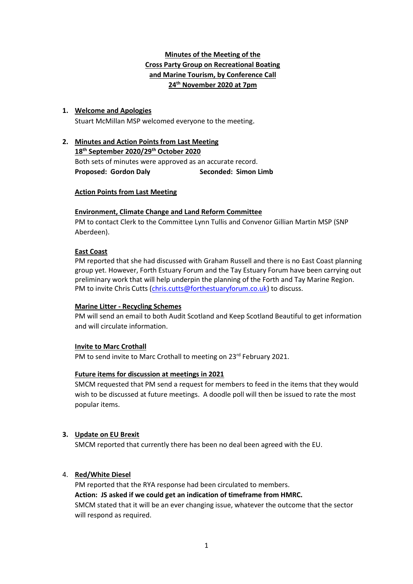## **Minutes of the Meeting of the Cross Party Group on Recreational Boating and Marine Tourism, by Conference Call 24th November 2020 at 7pm**

### **1. Welcome and Apologies**

Stuart McMillan MSP welcomed everyone to the meeting.

# **2. Minutes and Action Points from Last Meeting 18th September 2020/29th October 2020** Both sets of minutes were approved as an accurate record. **Proposed: Gordon Daly Seconded: Simon Limb**

### **Action Points from Last Meeting**

### **Environment, Climate Change and Land Reform Committee**

PM to contact Clerk to the Committee Lynn Tullis and Convenor Gillian Martin MSP (SNP Aberdeen).

### **East Coast**

PM reported that she had discussed with Graham Russell and there is no East Coast planning group yet. However, Forth Estuary Forum and the Tay Estuary Forum have been carrying out preliminary work that will help underpin the planning of the Forth and Tay Marine Region. PM to invite Chris Cutts [\(chris.cutts@forthestuaryforum.co.uk\)](mailto:chris.cutts@forthestuaryforum.co.uk) to discuss.

### **Marine Litter - Recycling Schemes**

PM will send an email to both Audit Scotland and Keep Scotland Beautiful to get information and will circulate information.

### **Invite to Marc Crothall**

PM to send invite to Marc Crothall to meeting on 23<sup>rd</sup> February 2021.

### **Future items for discussion at meetings in 2021**

SMCM requested that PM send a request for members to feed in the items that they would wish to be discussed at future meetings. A doodle poll will then be issued to rate the most popular items.

### **3. Update on EU Brexit**

SMCM reported that currently there has been no deal been agreed with the EU.

### 4. **Red/White Diesel**

PM reported that the RYA response had been circulated to members. **Action: JS asked if we could get an indication of timeframe from HMRC.** SMCM stated that it will be an ever changing issue, whatever the outcome that the sector will respond as required.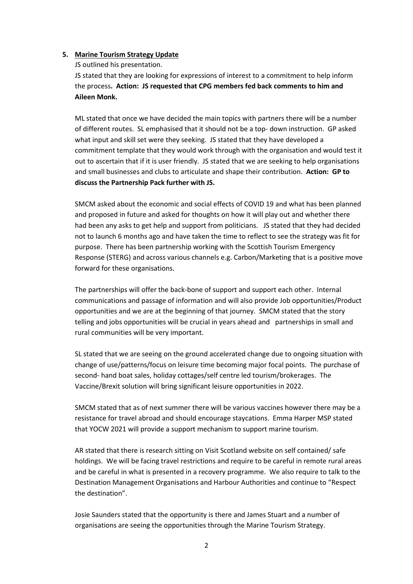#### **5. Marine Tourism Strategy Update**

JS outlined his presentation.

JS stated that they are looking for expressions of interest to a commitment to help inform the process**. Action: JS requested that CPG members fed back comments to him and Aileen Monk.**

ML stated that once we have decided the main topics with partners there will be a number of different routes. SL emphasised that it should not be a top- down instruction. GP asked what input and skill set were they seeking. JS stated that they have developed a commitment template that they would work through with the organisation and would test it out to ascertain that if it is user friendly. JS stated that we are seeking to help organisations and small businesses and clubs to articulate and shape their contribution. **Action: GP to discuss the Partnership Pack further with JS.**

SMCM asked about the economic and social effects of COVID 19 and what has been planned and proposed in future and asked for thoughts on how it will play out and whether there had been any asks to get help and support from politicians. JS stated that they had decided not to launch 6 months ago and have taken the time to reflect to see the strategy was fit for purpose. There has been partnership working with the Scottish Tourism Emergency Response (STERG) and across various channels e.g. Carbon/Marketing that is a positive move forward for these organisations.

The partnerships will offer the back-bone of support and support each other. Internal communications and passage of information and will also provide Job opportunities/Product opportunities and we are at the beginning of that journey. SMCM stated that the story telling and jobs opportunities will be crucial in years ahead and partnerships in small and rural communities will be very important.

SL stated that we are seeing on the ground accelerated change due to ongoing situation with change of use/patterns/focus on leisure time becoming major focal points. The purchase of second- hand boat sales, holiday cottages/self centre led tourism/brokerages. The Vaccine/Brexit solution will bring significant leisure opportunities in 2022.

SMCM stated that as of next summer there will be various vaccines however there may be a resistance for travel abroad and should encourage staycations. Emma Harper MSP stated that YOCW 2021 will provide a support mechanism to support marine tourism.

AR stated that there is research sitting on Visit Scotland website on self contained/ safe holdings. We will be facing travel restrictions and require to be careful in remote rural areas and be careful in what is presented in a recovery programme. We also require to talk to the Destination Management Organisations and Harbour Authorities and continue to "Respect the destination".

Josie Saunders stated that the opportunity is there and James Stuart and a number of organisations are seeing the opportunities through the Marine Tourism Strategy.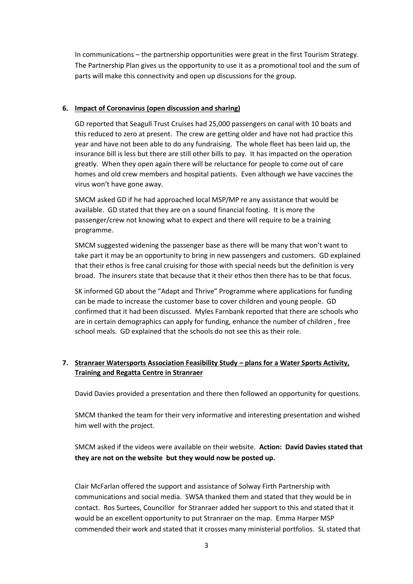In communications – the partnership opportunities were great in the first Tourism Strategy. The Partnership Plan gives us the opportunity to use it as a promotional tool and the sum of parts will make this connectivity and open up discussions for the group.

### **6. Impact of Coronavirus (open discussion and sharing)**

GD reported that Seagull Trust Cruises had 25,000 passengers on canal with 10 boats and this reduced to zero at present. The crew are getting older and have not had practice this year and have not been able to do any fundraising. The whole fleet has been laid up, the insurance bill is less but there are still other bills to pay. It has impacted on the operation greatly. When they open again there will be reluctance for people to come out of care homes and old crew members and hospital patients. Even although we have vaccines the virus won't have gone away.

SMCM asked GD if he had approached local MSP/MP re any assistance that would be available. GD stated that they are on a sound financial footing. It is more the passenger/crew not knowing what to expect and there will require to be a training programme.

SMCM suggested widening the passenger base as there will be many that won't want to take part it may be an opportunity to bring in new passengers and customers. GD explained that their ethos is free canal cruising for those with special needs but the definition is very broad. The insurers state that because that it their ethos then there has to be that focus.

SK informed GD about the "Adapt and Thrive" Programme where applications for funding can be made to increase the customer base to cover children and young people. GD confirmed that it had been discussed. Myles Farnbank reported that there are schools who are in certain demographics can apply for funding, enhance the number of children , free school meals. GD explained that the schools do not see this as their role.

## **7. Stranraer Watersports Association Feasibility Study – plans for a Water Sports Activity, Training and Regatta Centre in Stranraer**

David Davies provided a presentation and there then followed an opportunity for questions.

SMCM thanked the team for their very informative and interesting presentation and wished him well with the project.

SMCM asked if the videos were available on their website. **Action: David Davies stated that they are not on the website but they would now be posted up.**

Clair McFarlan offered the support and assistance of Solway Firth Partnership with communications and social media. SWSA thanked them and stated that they would be in contact. Ros Surtees, Councillor for Stranraer added her support to this and stated that it would be an excellent opportunity to put Stranraer on the map. Emma Harper MSP commended their work and stated that it crosses many ministerial portfolios. SL stated that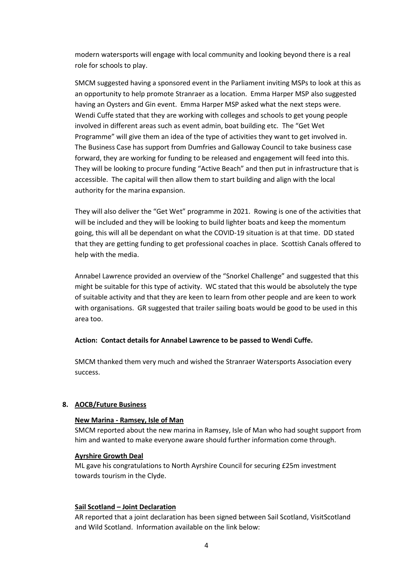modern watersports will engage with local community and looking beyond there is a real role for schools to play.

SMCM suggested having a sponsored event in the Parliament inviting MSPs to look at this as an opportunity to help promote Stranraer as a location. Emma Harper MSP also suggested having an Oysters and Gin event. Emma Harper MSP asked what the next steps were. Wendi Cuffe stated that they are working with colleges and schools to get young people involved in different areas such as event admin, boat building etc. The "Get Wet Programme" will give them an idea of the type of activities they want to get involved in. The Business Case has support from Dumfries and Galloway Council to take business case forward, they are working for funding to be released and engagement will feed into this. They will be looking to procure funding "Active Beach" and then put in infrastructure that is accessible. The capital will then allow them to start building and align with the local authority for the marina expansion.

They will also deliver the "Get Wet" programme in 2021. Rowing is one of the activities that will be included and they will be looking to build lighter boats and keep the momentum going, this will all be dependant on what the COVID-19 situation is at that time. DD stated that they are getting funding to get professional coaches in place. Scottish Canals offered to help with the media.

Annabel Lawrence provided an overview of the "Snorkel Challenge" and suggested that this might be suitable for this type of activity. WC stated that this would be absolutely the type of suitable activity and that they are keen to learn from other people and are keen to work with organisations. GR suggested that trailer sailing boats would be good to be used in this area too.

### **Action: Contact details for Annabel Lawrence to be passed to Wendi Cuffe.**

SMCM thanked them very much and wished the Stranraer Watersports Association every success.

### **8. AOCB/Future Business**

#### **New Marina - Ramsey, Isle of Man**

SMCM reported about the new marina in Ramsey, Isle of Man who had sought support from him and wanted to make everyone aware should further information come through.

### **Ayrshire Growth Deal**

ML gave his congratulations to North Ayrshire Council for securing £25m investment towards tourism in the Clyde.

#### **Sail Scotland – Joint Declaration**

AR reported that a joint declaration has been signed between Sail Scotland, VisitScotland and Wild Scotland. Information available on the link below: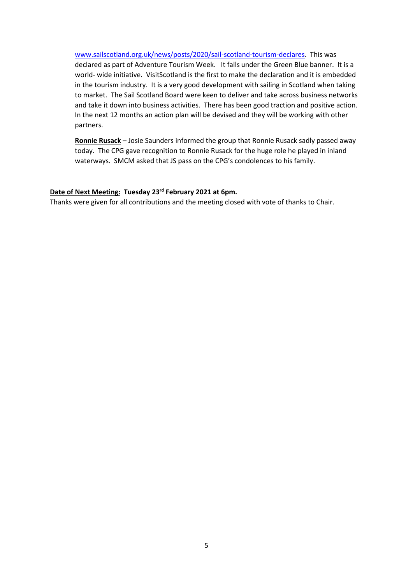[www.sailscotland.org.uk/news/posts/2020/sail-scotland-tourism-declares.](http://www.sailscotland.org.uk/news/posts/2020/sail-scotland-tourism-declares) This was declared as part of Adventure Tourism Week. It falls under the Green Blue banner. It is a world- wide initiative. VisitScotland is the first to make the declaration and it is embedded in the tourism industry. It is a very good development with sailing in Scotland when taking to market. The Sail Scotland Board were keen to deliver and take across business networks and take it down into business activities. There has been good traction and positive action. In the next 12 months an action plan will be devised and they will be working with other partners.

**Ronnie Rusack** – Josie Saunders informed the group that Ronnie Rusack sadly passed away today. The CPG gave recognition to Ronnie Rusack for the huge role he played in inland waterways. SMCM asked that JS pass on the CPG's condolences to his family.

### **Date of Next Meeting: Tuesday 23rd February 2021 at 6pm.**

Thanks were given for all contributions and the meeting closed with vote of thanks to Chair.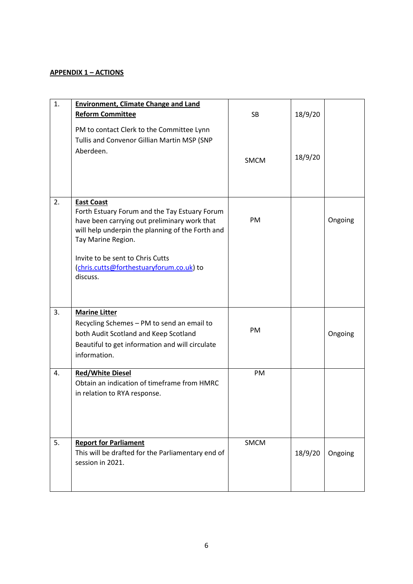### **APPENDIX 1 – ACTIONS**

| 1. | <b>Environment, Climate Change and Land</b><br><b>Reform Committee</b><br>PM to contact Clerk to the Committee Lynn<br>Tullis and Convenor Gillian Martin MSP (SNP<br>Aberdeen.                                                                                                          | <b>SB</b><br><b>SMCM</b> | 18/9/20<br>18/9/20 |         |
|----|------------------------------------------------------------------------------------------------------------------------------------------------------------------------------------------------------------------------------------------------------------------------------------------|--------------------------|--------------------|---------|
| 2. | <b>East Coast</b><br>Forth Estuary Forum and the Tay Estuary Forum<br>have been carrying out preliminary work that<br>will help underpin the planning of the Forth and<br>Tay Marine Region.<br>Invite to be sent to Chris Cutts<br>(chris.cutts@forthestuaryforum.co.uk) to<br>discuss. | PM                       |                    | Ongoing |
| 3. | <b>Marine Litter</b><br>Recycling Schemes - PM to send an email to<br>both Audit Scotland and Keep Scotland<br>Beautiful to get information and will circulate<br>information.                                                                                                           | PM                       |                    | Ongoing |
| 4. | <b>Red/White Diesel</b><br>Obtain an indication of timeframe from HMRC<br>in relation to RYA response.                                                                                                                                                                                   | PM                       |                    |         |
| 5. | <b>Report for Parliament</b><br>This will be drafted for the Parliamentary end of<br>session in 2021.                                                                                                                                                                                    | SMCM                     | 18/9/20            | Ongoing |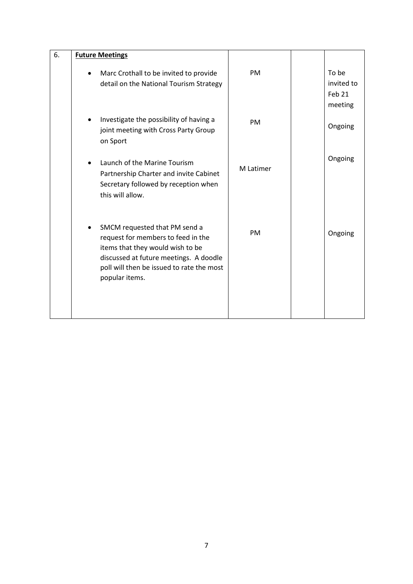| 6. |           | <b>Future Meetings</b>                                                                                                                                                                                           |           |                                          |
|----|-----------|------------------------------------------------------------------------------------------------------------------------------------------------------------------------------------------------------------------|-----------|------------------------------------------|
|    | $\bullet$ | Marc Crothall to be invited to provide<br>detail on the National Tourism Strategy                                                                                                                                | PM        | To be<br>invited to<br>Feb 21<br>meeting |
|    |           | Investigate the possibility of having a<br>joint meeting with Cross Party Group<br>on Sport                                                                                                                      | PM        | Ongoing                                  |
|    |           | Launch of the Marine Tourism<br>Partnership Charter and invite Cabinet<br>Secretary followed by reception when<br>this will allow.                                                                               | M Latimer | Ongoing                                  |
|    |           | SMCM requested that PM send a<br>request for members to feed in the<br>items that they would wish to be<br>discussed at future meetings. A doodle<br>poll will then be issued to rate the most<br>popular items. | PM        | Ongoing                                  |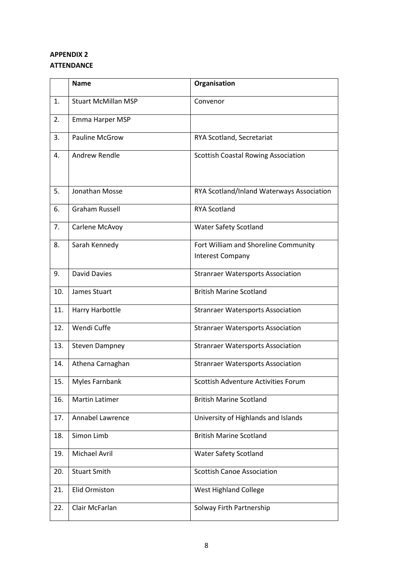# **APPENDIX 2 ATTENDANCE**

|     | <b>Name</b>                | Organisation                                                    |
|-----|----------------------------|-----------------------------------------------------------------|
| 1.  | <b>Stuart McMillan MSP</b> | Convenor                                                        |
| 2.  | Emma Harper MSP            |                                                                 |
| 3.  | <b>Pauline McGrow</b>      | RYA Scotland, Secretariat                                       |
| 4.  | <b>Andrew Rendle</b>       | <b>Scottish Coastal Rowing Association</b>                      |
| 5.  | Jonathan Mosse             | RYA Scotland/Inland Waterways Association                       |
| 6.  | <b>Graham Russell</b>      | <b>RYA Scotland</b>                                             |
| 7.  | Carlene McAvoy             | <b>Water Safety Scotland</b>                                    |
| 8.  | Sarah Kennedy              | Fort William and Shoreline Community<br><b>Interest Company</b> |
| 9.  | <b>David Davies</b>        | <b>Stranraer Watersports Association</b>                        |
| 10. | James Stuart               | <b>British Marine Scotland</b>                                  |
| 11. | Harry Harbottle            | <b>Stranraer Watersports Association</b>                        |
| 12. | Wendi Cuffe                | <b>Stranraer Watersports Association</b>                        |
| 13. | <b>Steven Dampney</b>      | <b>Stranraer Watersports Association</b>                        |
| 14. | Athena Carnaghan           | <b>Stranraer Watersports Association</b>                        |
| 15. | <b>Myles Farnbank</b>      | Scottish Adventure Activities Forum                             |
| 16. | Martin Latimer             | <b>British Marine Scotland</b>                                  |
| 17. | Annabel Lawrence           | University of Highlands and Islands                             |
| 18. | Simon Limb                 | <b>British Marine Scotland</b>                                  |
| 19. | <b>Michael Avril</b>       | <b>Water Safety Scotland</b>                                    |
| 20. | <b>Stuart Smith</b>        | <b>Scottish Canoe Association</b>                               |
| 21. | <b>Elid Ormiston</b>       | <b>West Highland College</b>                                    |
| 22. | Clair McFarlan             | Solway Firth Partnership                                        |